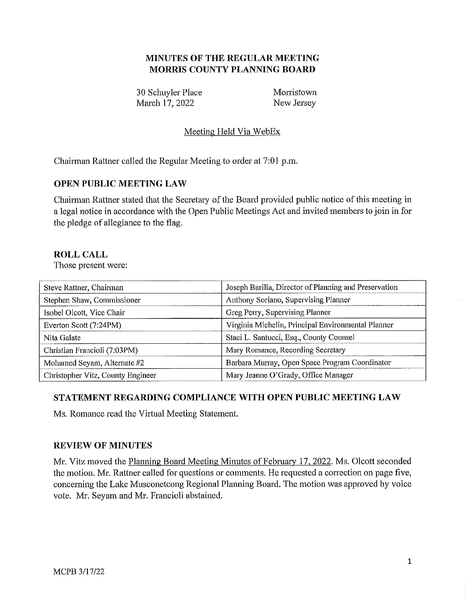# **MINUTES OF THE REGULAR MEETING MORRIS COUNTY PLANNING BOARD**

30 Schuyler Place Morristown March 17, 2022 New Jersey

# Meeting Held Via WebEx

Chairman Rattner called the Regular Meeting to order at 7:01 p.m.

## **OPEN PUBLIC MEETING LAW**

Chairman Rattner stated that the Secretary of the Board provided public notice of this meeting in a legal notice in accordance with the Open Public Meetings Act and invited members to join in for the pledge of allegiance to the flag.

#### **ROLL CALL**

Those present were:

| Steve Rattner, Chairman           | Joseph Barilla, Director of Planning and Preservation |
|-----------------------------------|-------------------------------------------------------|
| Stephen Shaw, Commissioner        | Anthony Soriano, Supervising Planner                  |
| Isobel Olcott, Vice Chair         | Greg Perry, Supervising Planner                       |
| Everton Scott (7:24PM)            | Virginia Michelin, Principal Environmental Planner    |
| Nita Galate                       | Staci L. Santucci, Esq., County Counsel               |
| Christian Francioli (7:03PM)      | Mary Romance, Recording Secretary                     |
| Mohamed Seyam, Alternate #2       | Barbara Murray, Open Space Program Coordinator        |
| Christopher Vitz, County Engineer | Mary Jeanne O'Grady, Office Manager                   |

## **STATEMENT REGARDING COMPLIANCE WITH OPEN PUBLIC MEETING LAW**

Ms. Romance read the Virtual Meeting Statement.

#### **REVIEW OF MINUTES**

Mr. Vitz moved the Planning Board Meeting Minutes of February 17, 2022. Ms. Olcott seconded the motion. Mr. Rattner called for questions or comments. He requested a correction on page five, concerning the Lake Musconetcong Regional Planning Board. The motion was approved by voice vote. Mr. Seyam and Mr. Francioli abstained.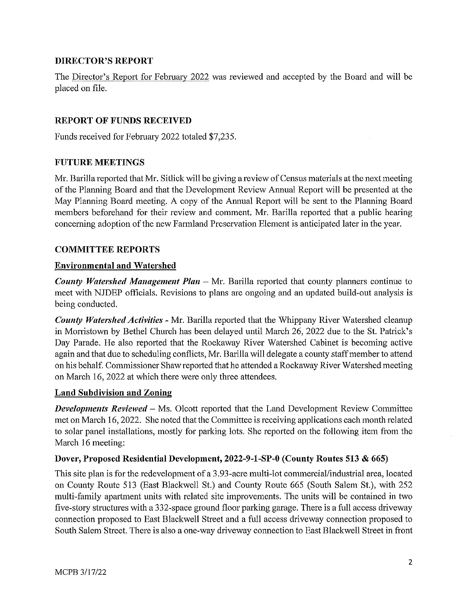## **DIRECTOR'S REPORT**

The Director's Report for February 2022 was reviewed and accepted by the Board and will be placed on file.

# **REPORT OF FUNDS RECEIVED**

Funds received for February 2022 totaled \$7,235.

#### **FUTURE MEETINGS**

Mr. Barilla reported that Mr. Sitlick will be giving a review of Census materials at the next meeting of the Planning Board and that the Development Review Annual Report will be presented at the May Planning Board meeting. A copy of the Annual Report will be sent to the Planning Board members beforehand for their review and comment. Mr. Barilla reported that a public hearing concerning adoption of the new Farmland Preservation Element is anticipated later in the year.

## **COMMITTEE REPORTS**

## **Environmental and Watershed**

*County Watershed Management Plan* – Mr. Barilla reported that county planners continue to meet with NJDEP officials. Revisions to plans are ongoing and an updated build-out analysis is being conducted.

*County Watershed Activities* - Mr. Barilla reported that the Whippany River Watershed cleanup in Morristown by Bethel Church has been delayed until March 26, 2022 due to the St. Patrick's Day Parade. He also reported that the Rockaway River Watershed Cabinet is becoming active again and that due to scheduling conflicts, Mr. Barilla will delegate a county staff member to attend on his behalf. Commissioner Shaw reported that he attended a Rockaway River Watershed meeting on March 16, 2022 at which there were only three attendees.

## **Land Subdivision and Zoning**

*Developments Reviewed* - Ms. Olcott reported that the Land Development Review Committee met on March 16, 2022. She noted that the Committee is receiving applications each month related to solar panel installations, mostly for parking lots. She reported on the following item from the March 16 meeting:

## **Dover, Proposed Residential Development, 2022-9-1-SP-0 (County Routes 513 & 665)**

This site plan is for the redevelopment of a 3.93-acre multi-lot commercial/industrial area, located on County Route 513 (East Blackwell St.) and County Route 665 (South Salem St.), with 252 multi-family apartment units with related site improvements. The units will be contained in two five-stoty structures with a 332-space ground floor parking garage. There is a full access driveway connection proposed to East Blackwell Street and a full access driveway connection proposed to South Salem Street. There is also a one-way driveway connection to East Blackwell Street in front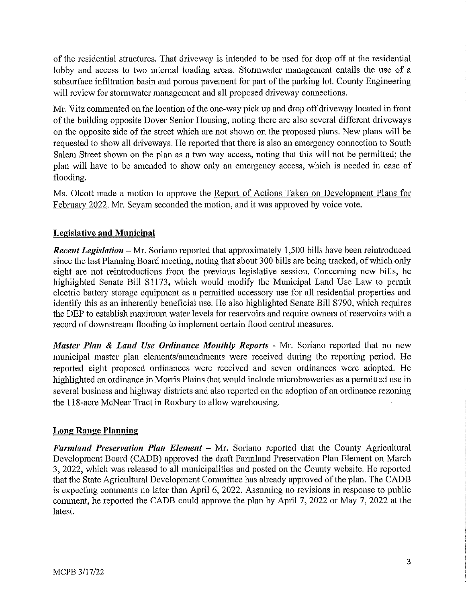of the residential structures. That driveway is intended to be used for drop off at the residential lobby and access to two internal loading areas. Stormwater management entails the use of a subsurface infiltration basin and porous pavement for part of the parking lot. County Engineering will review for stormwater management and all proposed driveway connections.

Mr. Vitz commented on the location of the one-way pick up and drop off driveway located in front of the building opposite Dover Senior Housing, noting there are also several different driveways on the opposite side of the street which are not shown on the proposed plans. New plans will be requested to show all driveways. He reported that there is also an emergency connection to South Salem Street shown on the plan as a two way access, noting that this will not be permitted; the plan will have to be amended to show only an emergency access, which is needed in case of flooding.

Ms. Olcott made a motion to approve the Report of Actions Taken on Development Plans for February 2022. Mr. Seyam seconded the motion, and it was approved by voice vote.

# **Legislative and Municipal**

*Recent Legislation* - Mr. Soriano reported that approximately 1,500 bills have been reintroduced since the last Planning Board meeting, noting that about 300 bills are being tracked, of which only eight are not reintroductions from the previous legislative session. Concerning new bills, he highlighted Senate Bill S1173, which would modify the Municipal Land Use Law to permit electric battery storage equipment as a permitted accessory use for all residential properties and identify this as an inherently beneficial use. He also highlighted Senate Bill S790, which requires the DEP to establish maximum water levels for reservoirs and require owners of reservoirs with a record of downstream flooding to implement certain flood control measures.

*Master Plan* **&** *Land Use Ordinance Monthly Reports* - Mr. Soriano reported that no new municipal master plan elements/amendments were received during the reporting period. He reported eight proposed ordinances were received and seven ordinances were adopted. He highlighted an ordinance in Morris Plains that would include microbreweries as a permitted use in several business and highway districts and also reported on the adoption of an ordinance rezoning the 118-acre McNear Tract in Roxbury to allow warehousing.

## **Long Range Planning**

Farmland Preservation Plan Element - Mr. Soriano reported that the County Agricultural Development Board (CADB) approved the draft Farmland Preservation Plan Element on March 3, 2022, which was released to all municipalities and posted on the County website. He reported that the State Agricultural Development Committee has already approved of the plan. The CADB is expecting comments no later than April 6, 2022. Assuming no revisions in response to public comment, he reported the CADB could approve the plan by April 7, 2022 or May 7, 2022 at the latest.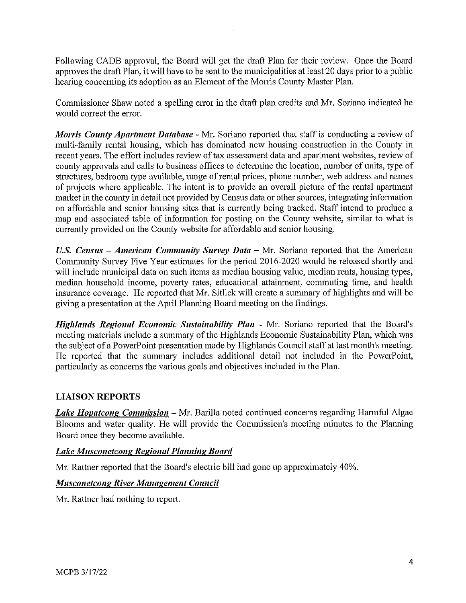Following CADB approval, the Board will get the draft Plan for their review. Once the Board approves the draft Plan, it will have to be sent to the municipalities at least 20 days prior to a public hearing concerning its adoption as an Element of the Morris County Master Plan.

Commissioner Shaw noted a spelling error in the draft plan credits and Mr. Soriano indicated he would correct the error.

*Morris County Apartment Database* - Mr. Soriano reported that staff is conducting a review of multi-family rental housing, which has dominated new housing construction in the County in recent years. The effort includes review of tax assessment data and apartment websites, review of county approvals and calls to business offices to determine the location, number of units, type of structures, bedroom type available, range of rental prices, phone number, web address and names of projects where applicable. The intent is to provide an overall picture of the rental apartment market in the county in detail not provided by Census data or other sources, integrating information on affordable and senior housing sites that is currently being tracked. Staff intend to produce a map and associated table of information for posting on the County website, similar to what is currently provided on the County website for affordable and senior housing.

*U.S. Census – American Community Survey Data – Mr. Soriano reported that the American* Community Survey Five Year estimates for the period 2016-2020 would be released shortly and will include municipal data on such items as median housing value, median rents, housing types, median household income, poverty rates, educational attainment, commuting time, and health insurance coverage. He reported that Mr. Sitlick will create a summaty of highlights and will be giving a presentation at the April Planning Board meeting on the findings.

*Highlands Regional Economic Sustainability Plan* - Mr. Soriano reported that the Board's meeting materials include a summary of the Highlands Economic Sustainability Plan, which was the subject of a PowerPoint presentation made by Highlands Council staff at last month's meeting. He reported that the summary includes additional detail not included in the PowerPoint, particularly as concerns the various goals and objectives included in the Plan.

# **LIAISON REPORTS**

*Lake Hopatcong Commission* – Mr. Barilla noted continued concerns regarding Harmful Algae Blooms and water quality. He will provide the Commission's meeting minutes to the Planning Board once they become available.

## *Lake Musconetcong Regional Planning Board*

Mr. Rattner reported that the Board's electric bill had gone up approximately 40%.

## *MusconetcongRiver Management Council*

Mr. Rattner had nothing to report.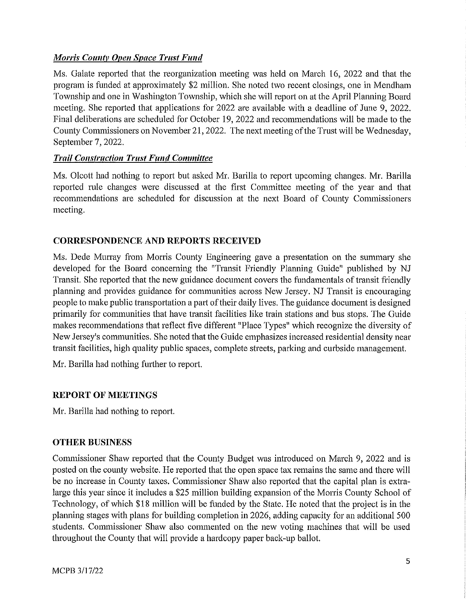# *Morris County Open Space Trust Fund*

Ms. Galate reported that the reorganization meeting was held on March 16, 2022 and that the program is funded at approximately \$2 million. She noted two recent closings, one in Mendham Township and one in Washington Township, which she will report on at the April Planning Board meeting. She reported that applications for 2022 are available with a deadline of June 9, 2022. Final deliberations are scheduled for October 19, 2022 and recommendations will be made to the County Commissioners on November 21, 2022. The next meeting ofthe Trust will be Wednesday, September 7, 2022.

## **Trail Construction Trust Fund Committee**

Ms. Olcott had nothing to report but asked Mr. Barilla to report upcoming changes. Mr. Barilla reported rule changes were discussed at the first Committee meeting of the year and that recommendations are scheduled for discussion at the next Board of County Commissioners meeting.

#### **CORRESPONDENCE AND REPORTS RECEIVED**

Ms. Dede Murray from Morris County Engineering gave a presentation on the summary she developed for the Board concerning the "Transit Friendly Planning Guide" published by NJ Transit. She reported that the new guidance document covers the fundamentals of transit friendly planning and provides guidance for communities across New Jersey. NJ Transit is encouraging people to make public transportation a part of their daily lives. The guidance document is designed primarily for communities that have transit facilities like train stations and bus stops. The Guide makes recommendations that reflect five different "Place Types" which recognize the diversity of New Jersey's communities. She noted that the Guide emphasizes increased residential density near transit facilities, high quality public spaces, complete streets, parking and curbside management.

Mr. Barilla had nothing further to report.

## **REPORT OF MEETINGS**

Mr. Barilla had nothing to report.

## **OTHER BUSINESS**

Commissioner Shaw reported that the County Budget was introduced on March 9, 2022 and is posted on the county website. He reported that the open space tax remains the same and there will be no increase in County taxes. Commissioner Shaw also reported that the capital plan is extralarge this year since it includes a \$25 million building expansion of the Morris County School of Technology, of which \$18 million will be funded by the State. He noted that the project is in the planning stages with plans for building completion in 2026, adding capacity for an additional 500 students. Commissioner Shaw also commented on the new voting machines that will be used throughout the County that will provide a hardcopy paper back-up ballot.